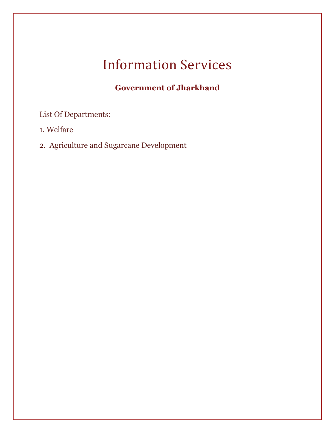# Information Services

# **Government of Jharkhand**

# List Of Departments:

- 1. [Welfare](#page-1-0)
- 2. [Agriculture and Sugarcane Development](#page-2-0)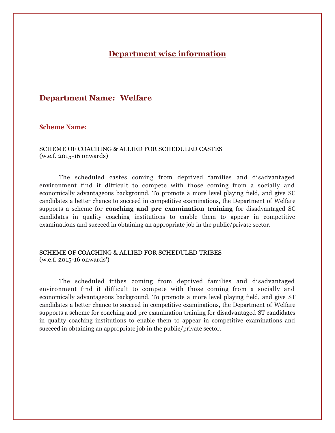## **Department wise information**

### <span id="page-1-0"></span>**Department Name: Welfare**

#### **Scheme Name:**

#### SCHEME OF COACHING & ALLIED FOR SCHEDULED CASTES (w.e.f. 2015-16 onwards)

The scheduled castes coming from deprived families and disadvantaged environment find it difficult to compete with those coming from a socially and economically advantageous background. To promote a more level playing field, and give SC candidates a better chance to succeed in competitive examinations, the Department of Welfare supports a scheme for **coaching and pre examination training** for disadvantaged SC candidates in quality coaching institutions to enable them to appear in competitive examinations and succeed in obtaining an appropriate job in the public/private sector.

#### SCHEME OF COACHING & ALLIED FOR SCHEDULED TRIBES (w.e.f. 2015-16 onwards')

The scheduled tribes coming from deprived families and disadvantaged environment find it difficult to compete with those coming from a socially and economically advantageous background. To promote a more level playing field, and give ST candidates a better chance to succeed in competitive examinations, the Department of Welfare supports a scheme for coaching and pre examination training for disadvantaged ST candidates in quality coaching institutions to enable them to appear in competitive examinations and succeed in obtaining an appropriate job in the public/private sector.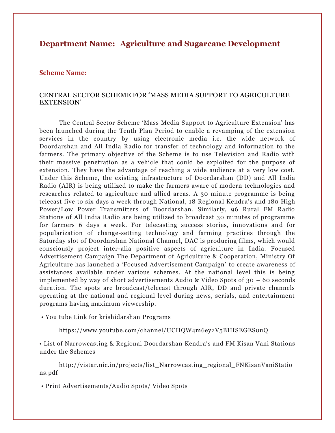## <span id="page-2-0"></span>**Department Name: Agriculture and Sugarcane Development**

#### **Scheme Name:**

#### CENTRAL SECTOR SCHEME FOR 'MASS MEDIA SUPPORT TO AGRICULTURE EXTENSION'

The Central Sector Scheme 'Mass Media Support to Agriculture Extension' has been launched during the Tenth Plan Period to enable a revamping of the extension services in the country by using electronic media i.e. the wide network of Doordarshan and All India Radio for transfer of technology and information to the farmers. The primary objective of the Scheme is to use Television and Radio with their massive penetration as a vehicle that could be exploited for the purpose of extension. They have the advantage of reaching a wide audience at a very low cost. Under this Scheme, the existing infrastructure of Doordarshan (DD) and All India Radio (AIR) is being utilized to make the farmers aware of modern technologies and researches related to agriculture and allied areas. A 30 minute programme is being telecast five to six days a week through National, 18 Regional Kendra's and 180 High Power/Low Power Transmitters of Doordarshan. Similarly, 96 Rural FM Radio Stations of All India Radio are being utilized to broadcast 30 minutes of programme for farmers 6 days a week. For telecasting success stories, innovations and for popularization of change-setting technology and farming practices through the Saturday slot of Doordarshan National Channel, DAC is producing films, which would consciously project inter-alia positive aspects of agriculture in India. Focused Advertisement Campaign The Department of Agriculture & Cooperation, Ministry Of Agriculture has launched a 'Focused Advertisement Campaign' to create awareness of assistances available under various schemes. At the national level this is being implemented by way of short advertisements Audio & Video Spots of 30 – 60 seconds duration. The spots are broadcast/telecast through AIR, DD and private channels operating at the national and regional level during news, serials, and entertainment programs having maximum viewership.

• You tube Link for krishidarshan Programs

https://www.youtube.com/channel/UCHQW4m6ey2V5BIHSEGES0uQ

• List of Narrowcasting & Regional Doordarshan Kendra's and FM Kisan Vani Stations under the Schemes

http://vistar.nic.in/projects/list\_Narrowcasting\_regional\_FNKisanVaniStatio ns.pdf

• Print Advertisements/Audio Spots/ Video Spots